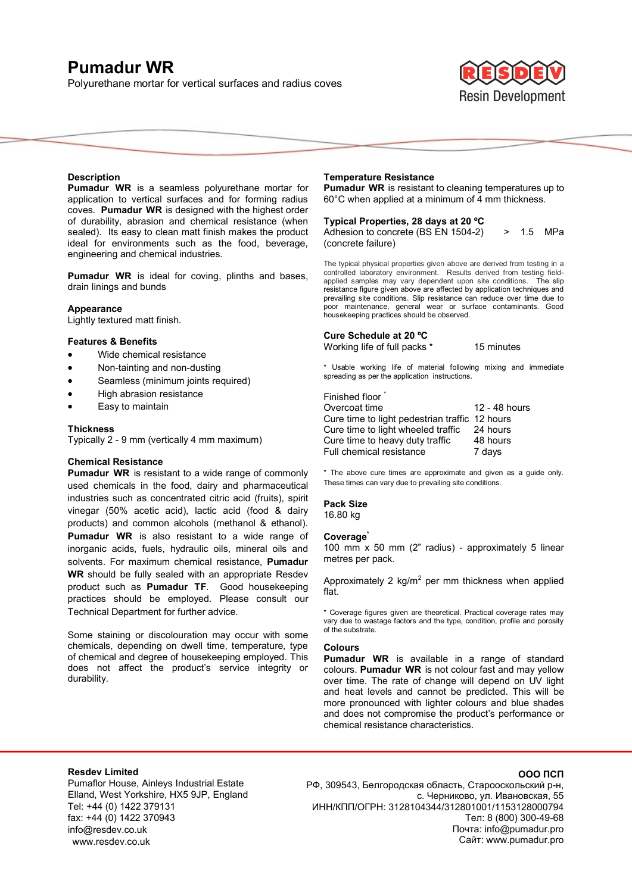# **Pumadur WR**

Polyurethane mortar for vertical surfaces and radius coves



#### **Description**

**Pumadur WR** is a seamless polyurethane mortar for application to vertical surfaces and for forming radius coves. **Pumadur WR** is designed with the highest order of durability, abrasion and chemical resistance (when sealed). Its easy to clean matt finish makes the product ideal for environments such as the food, beverage, engineering and chemical industries.

**Pumadur WR** is ideal for coving, plinths and bases, drain linings and bunds

#### **Appearance**

Lightly textured matt finish.

#### **Features & Benefits**

- Wide chemical resistance
- Non-tainting and non-dusting
- Seamless (minimum joints required)
- High abrasion resistance
- Easy to maintain

#### **Thickness**

Typically 2 - 9 mm (vertically 4 mm maximum)

#### **Chemical Resistance**

**Pumadur WR** is resistant to a wide range of commonly used chemicals in the food, dairy and pharmaceutical industries such as concentrated citric acid (fruits), spirit vinegar (50% acetic acid), lactic acid (food & dairy products) and common alcohols (methanol & ethanol). **Pumadur WR** is also resistant to a wide range of inorganic acids, fuels, hydraulic oils, mineral oils and solvents. For maximum chemical resistance, **Pumadur WR** should be fully sealed with an appropriate Resdev product such as **Pumadur TF**. Good housekeeping practices should be employed. Please consult our Technical Department for further advice.

Some staining or discolouration may occur with some chemicals, depending on dwell time, temperature, type of chemical and degree of housekeeping employed. This does not affect the product's service integrity or durability.

#### **Temperature Resistance**

**Pumadur WR** is resistant to cleaning temperatures up to 60°C when applied at a minimum of 4 mm thickness.

## **Typical Properties, 28 days at 20 ºC**

Adhesion to concrete (BS EN 1504-2) > 1.5 MPa (concrete failure)

The typical physical properties given above are derived from testing in a controlled laboratory environment. Results derived from testing fieldapplied samples may vary dependent upon site conditions. The slip resistance figure given above are affected by application techniques and prevailing site conditions. Slip resistance can reduce over time due to poor maintenance, general wear or surface contaminants. Good housekeeping practices should be observed.

#### **Cure Schedule at 20 ºC**

Working life of full packs \* 15 minutes

\* Usable working life of material following mixing and immediate spreading as per the application instructions.

#### Finished floor<sup>\*</sup>

| Overcoat time                                  | 12 - 48 hours |
|------------------------------------------------|---------------|
| Cure time to light pedestrian traffic 12 hours |               |
| Cure time to light wheeled traffic             | 24 hours      |
| Cure time to heavy duty traffic                | 48 hours      |
| Full chemical resistance                       | 7 days        |

\* The above cure times are approximate and given as a guide only. These times can vary due to prevailing site conditions.

# **Pack Size**

16.80 kg

#### **Coverage\***

100 mm x 50 mm (2" radius) - approximately 5 linear metres per pack.

Approximately 2 kg/m<sup>2</sup> per mm thickness when applied flat.

\* Coverage figures given are theoretical. Practical coverage rates may vary due to wastage factors and the type, condition, profile and porosity of the substrate.

#### **Colours**

**Pumadur WR** is available in a range of standard colours. **Pumadur WR** is not colour fast and may yellow over time. The rate of change will depend on UV light and heat levels and cannot be predicted. This will be more pronounced with lighter colours and blue shades and does not compromise the product's performance or chemical resistance characteristics.

## **Resdev Limited**

Pumaflor House, Ainleys Industrial Estate Elland, West Yorkshire, HX5 9JP, England Tel: +44 (0) 1422 379131 fax: +44 (0) 1422 370943 info@resdev.co.uk www.resdev.co.uk

### **ООО ПСП**

РФ, 309543, Белгородская область, Старооскольский р-н, с. Черниково, ул. Ивановская, 55 ИНН/КПП/ОГРН: 3128104344/312801001/1153128000794 Тел: 8 (800) 300-49-68 Почта: info@pumadur.pro Сайт: www.pumadur.pro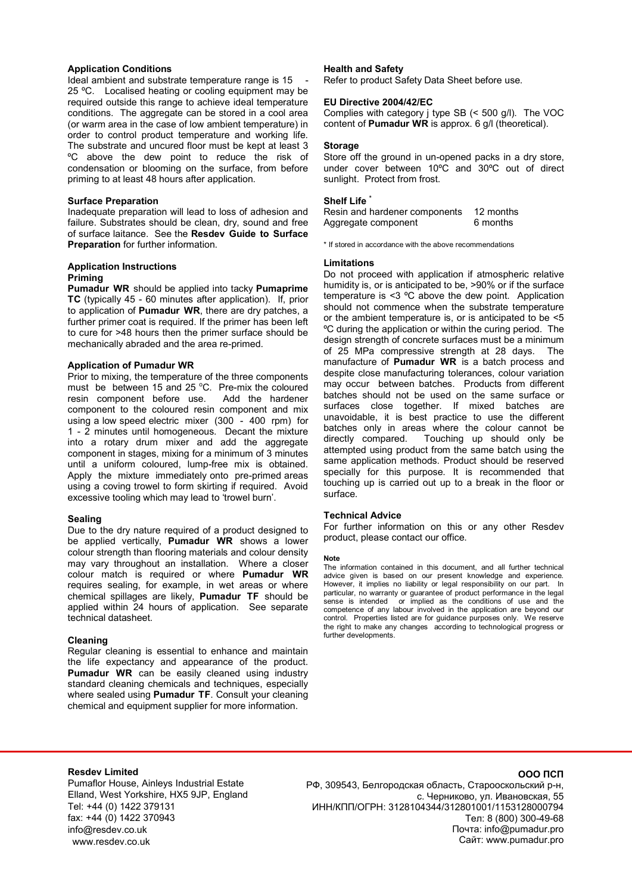#### **Application Conditions**

Ideal ambient and substrate temperature range is 15 25 °C. Localised heating or cooling equipment may be required outside this range to achieve ideal temperature conditions. The aggregate can be stored in a cool area (or warm area in the case of low ambient temperature) in order to control product temperature and working life. The substrate and uncured floor must be kept at least 3 ºC above the dew point to reduce the risk of condensation or blooming on the surface, from before priming to at least 48 hours after application.

#### **Surface Preparation**

Inadequate preparation will lead to loss of adhesion and failure. Substrates should be clean, dry, sound and free of surface laitance. See the **Resdev Guide to Surface Preparation** for further information.

#### **Application Instructions Priming**

**Pumadur WR** should be applied into tacky **Pumaprime TC** (typically 45 - 60 minutes after application). If, prior to application of **Pumadur WR**, there are dry patches, a further primer coat is required. If the primer has been left to cure for >48 hours then the primer surface should be mechanically abraded and the area re-primed.

### **Application of Pumadur WR**

Prior to mixing, the temperature of the three components must be between 15 and 25 °C. Pre-mix the coloured resin component before use. Add the hardener resin component before use. component to the coloured resin component and mix using a low speed electric mixer (300 - 400 rpm) for 1 - 2 minutes until homogeneous. Decant the mixture into a rotary drum mixer and add the aggregate component in stages, mixing for a minimum of 3 minutes until a uniform coloured, lump-free mix is obtained. Apply the mixture immediately onto pre-primed areas using a coving trowel to form skirting if required. Avoid excessive tooling which may lead to 'trowel burn'.

## **Sealing**

Due to the dry nature required of a product designed to be applied vertically, **Pumadur WR** shows a lower colour strength than flooring materials and colour density may vary throughout an installation. Where a closer colour match is required or where **Pumadur WR**  requires sealing, for example, in wet areas or where chemical spillages are likely, **Pumadur TF** should be applied within 24 hours of application. See separate technical datasheet.

## **Cleaning**

Regular cleaning is essential to enhance and maintain the life expectancy and appearance of the product. **Pumadur WR** can be easily cleaned using industry standard cleaning chemicals and techniques, especially where sealed using **Pumadur TF**. Consult your cleaning chemical and equipment supplier for more information.

#### **Health and Safety**

Refer to product Safety Data Sheet before use.

### **EU Directive 2004/42/EC**

Complies with category j type SB (< 500 g/l). The VOC content of **Pumadur WR** is approx. 6 g/l (theoretical).

#### **Storage**

Store off the ground in un-opened packs in a dry store, under cover between 10ºC and 30ºC out of direct sunlight. Protect from frost.

#### **Shelf Life \***

Resin and hardener components 12 months Aggregate component 6 months

\* If stored in accordance with the above recommendations

#### **Limitations**

Do not proceed with application if atmospheric relative humidity is, or is anticipated to be, >90% or if the surface temperature is <3 ºC above the dew point. Application should not commence when the substrate temperature or the ambient temperature is, or is anticipated to be <5 ºC during the application or within the curing period. The design strength of concrete surfaces must be a minimum of 25 MPa compressive strength at 28 days. The manufacture of **Pumadur WR** is a batch process and despite close manufacturing tolerances, colour variation may occur between batches. Products from different batches should not be used on the same surface or surfaces close together. If mixed batches are unavoidable, it is best practice to use the different batches only in areas where the colour cannot be directly compared. Touching up should only be Touching up should only be attempted using product from the same batch using the same application methods. Product should be reserved specially for this purpose. It is recommended that touching up is carried out up to a break in the floor or surface.

#### **Technical Advice**

For further information on this or any other Resdev product, please contact our office.

#### **Note**

The information contained in this document, and all further technical advice given is based on our present knowledge and experience. However, it implies no liability or legal responsibility on our part. In particular, no warranty or guarantee of product performance in the legal sense is intended or implied as the conditions of use and the competence of any labour involved in the application are beyond our control. Properties listed are for guidance purposes only. We reserve the right to make any changes according to technological progress or further developments.

#### **Resdev Limited**

Pumaflor House, Ainleys Industrial Estate Elland, West Yorkshire, HX5 9JP, England Tel: +44 (0) 1422 379131 fax: +44 (0) 1422 370943 info@resdev.co.uk www.resdev.co.uk

РФ, 309543, Белгородская область, Старооскольский р-н, с. Черниково, ул. Ивановская, 55 ИНН/КПП/ОГРН: 3128104344/312801001/1153128000794 Тел: 8 (800) 300-49-68 Почта: info@pumadur.pro Сайт: www.pumadur.pro

#### **ООО ПСП**